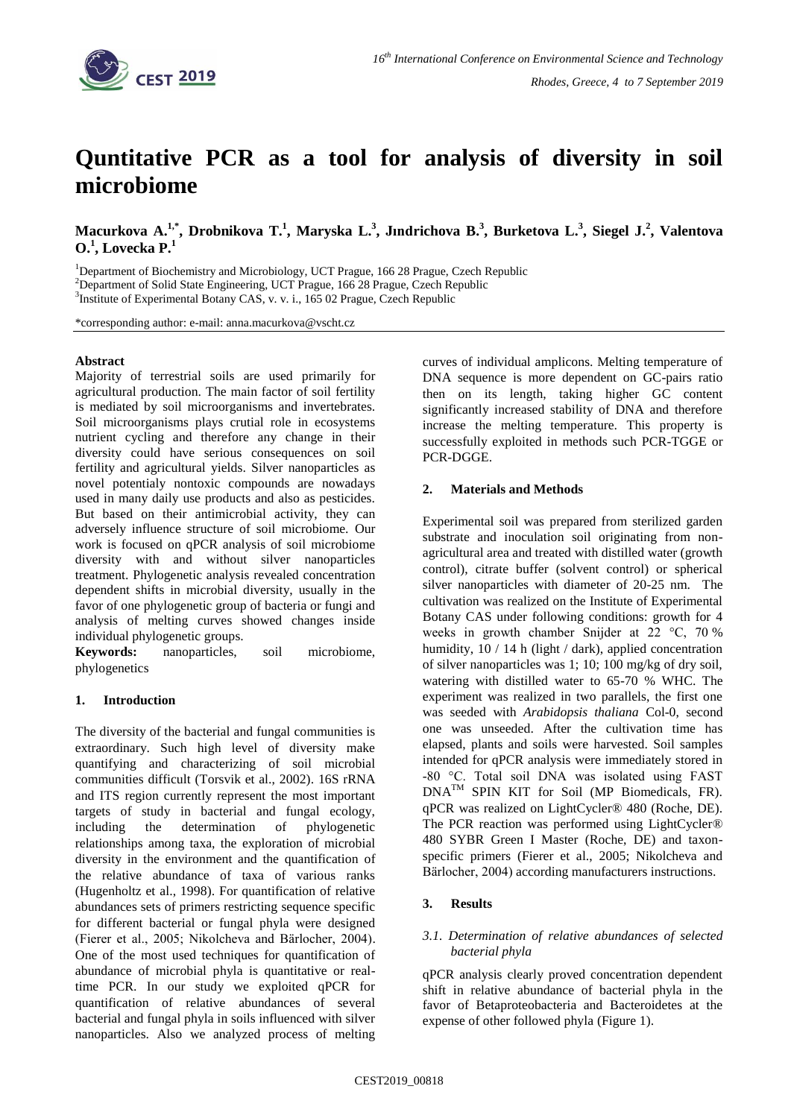

# **Quntitative PCR as a tool for analysis of diversity in soil microbiome**

Macurkova A.<sup>1,\*</sup>, Drobnikova T.<sup>1</sup>, Maryska L.<sup>3</sup>, Jındrichova B.<sup>3</sup>, Burketova L.<sup>3</sup>, Siegel J.<sup>2</sup>, Valentova **O.<sup>1</sup> , Lovecka P.<sup>1</sup>**

<sup>1</sup>Department of Biochemistry and Microbiology, UCT Prague, 166 28 Prague, Czech Republic <sup>2</sup>Department of Solid State Engineering, UCT Prague, 166 28 Prague, Czech Republic <sup>3</sup>Institute of Experimental Botany CAS, v. v. i., 165 02 Prague, Czech Republic

\*corresponding author: e-mail: anna.macurkova@vscht.cz

# **Abstract**

Majority of terrestrial soils are used primarily for agricultural production. The main factor of soil fertility is mediated by soil microorganisms and invertebrates. Soil microorganisms plays crutial role in ecosystems nutrient cycling and therefore any change in their diversity could have serious consequences on soil fertility and agricultural yields. Silver nanoparticles as novel potentialy nontoxic compounds are nowadays used in many daily use products and also as pesticides. But based on their antimicrobial activity, they can adversely influence structure of soil microbiome. Our work is focused on qPCR analysis of soil microbiome diversity with and without silver nanoparticles treatment. Phylogenetic analysis revealed concentration dependent shifts in microbial diversity, usually in the favor of one phylogenetic group of bacteria or fungi and analysis of melting curves showed changes inside individual phylogenetic groups.

**Keywords:** nanoparticles, soil microbiome, phylogenetics

## **1. Introduction**

The diversity of the bacterial and fungal communities is extraordinary. Such high level of diversity make quantifying and characterizing of soil microbial communities difficult (Torsvik et al., 2002). 16S rRNA and ITS region currently represent the most important targets of study in bacterial and fungal ecology, including the determination of phylogenetic relationships among taxa, the exploration of microbial diversity in the environment and the quantification of the relative abundance of taxa of various ranks (Hugenholtz et al., 1998). For quantification of relative abundances sets of primers restricting sequence specific for different bacterial or fungal phyla were designed (Fierer et al., 2005; Nikolcheva and Bärlocher, 2004). One of the most used techniques for quantification of abundance of microbial phyla is quantitative or realtime PCR. In our study we exploited qPCR for quantification of relative abundances of several bacterial and fungal phyla in soils influenced with silver nanoparticles. Also we analyzed process of melting curves of individual amplicons. Melting temperature of DNA sequence is more dependent on GC-pairs ratio then on its length, taking higher GC content significantly increased stability of DNA and therefore increase the melting temperature. This property is successfully exploited in methods such PCR-TGGE or PCR-DGGE.

# **2. Materials and Methods**

Experimental soil was prepared from sterilized garden substrate and inoculation soil originating from nonagricultural area and treated with distilled water (growth control), citrate buffer (solvent control) or spherical silver nanoparticles with diameter of 20-25 nm. The cultivation was realized on the Institute of Experimental Botany CAS under following conditions: growth for 4 weeks in growth chamber Snijder at 22 °C, 70 % humidity, 10 / 14 h (light / dark), applied concentration of silver nanoparticles was 1; 10; 100 mg/kg of dry soil, watering with distilled water to 65-70 % WHC. The experiment was realized in two parallels, the first one was seeded with *Arabidopsis thaliana* Col-0, second one was unseeded. After the cultivation time has elapsed, plants and soils were harvested. Soil samples intended for qPCR analysis were immediately stored in -80 °C. Total soil DNA was isolated using FAST DNATM SPIN KIT for Soil (MP Biomedicals, FR). qPCR was realized on LightCycler® 480 (Roche, DE). The PCR reaction was performed using LightCycler® 480 SYBR Green I Master (Roche, DE) and taxonspecific primers (Fierer et al., 2005; Nikolcheva and Bärlocher, 2004) according manufacturers instructions.

# **3. Results**

# *3.1. Determination of relative abundances of selected bacterial phyla*

qPCR analysis clearly proved concentration dependent shift in relative abundance of bacterial phyla in the favor of Betaproteobacteria and Bacteroidetes at the expense of other followed phyla (Figure 1).